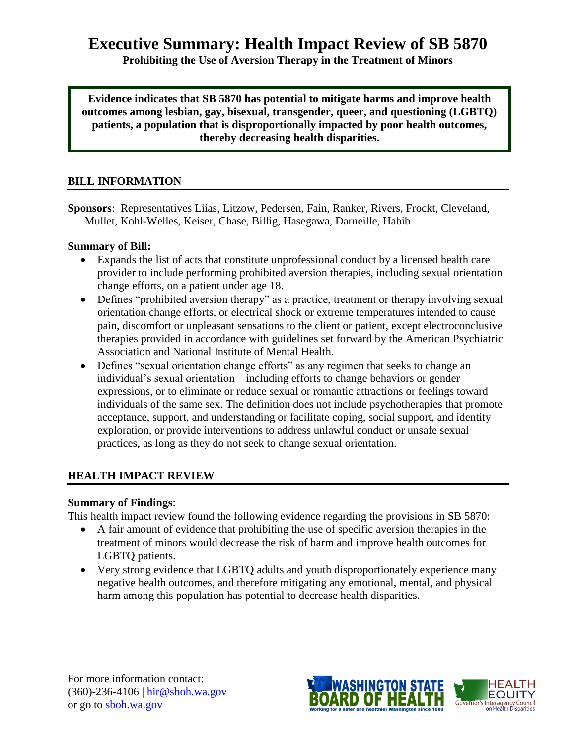# **Executive Summary: Health Impact Review of SB 5870**

**Prohibiting the Use of Aversion Therapy in the Treatment of Minors**

**Evidence indicates that SB 5870 has potential to mitigate harms and improve health outcomes among lesbian, gay, bisexual, transgender, queer, and questioning (LGBTQ) patients, a population that is disproportionally impacted by poor health outcomes, thereby decreasing health disparities.**

## **BILL INFORMATION**

**Sponsors**: Representatives Liias, Litzow, Pedersen, Fain, Ranker, Rivers, Frockt, Cleveland, Mullet, Kohl-Welles, Keiser, Chase, Billig, Hasegawa, Darneille, Habib

## **Summary of Bill:**

- Expands the list of acts that constitute unprofessional conduct by a licensed health care provider to include performing prohibited aversion therapies, including sexual orientation change efforts, on a patient under age 18.
- Defines "prohibited aversion therapy" as a practice, treatment or therapy involving sexual orientation change efforts, or electrical shock or extreme temperatures intended to cause pain, discomfort or unpleasant sensations to the client or patient, except electroconclusive therapies provided in accordance with guidelines set forward by the American Psychiatric Association and National Institute of Mental Health.
- Defines "sexual orientation change efforts" as any regimen that seeks to change an individual's sexual orientation—including efforts to change behaviors or gender expressions, or to eliminate or reduce sexual or romantic attractions or feelings toward individuals of the same sex. The definition does not include psychotherapies that promote acceptance, support, and understanding or facilitate coping, social support, and identity exploration, or provide interventions to address unlawful conduct or unsafe sexual practices, as long as they do not seek to change sexual orientation.

## **HEALTH IMPACT REVIEW**

## **Summary of Findings**:

This health impact review found the following evidence regarding the provisions in SB 5870:

- A fair amount of evidence that prohibiting the use of specific aversion therapies in the treatment of minors would decrease the risk of harm and improve health outcomes for LGBTQ patients.
- Very strong evidence that LGBTQ adults and youth disproportionately experience many negative health outcomes, and therefore mitigating any emotional, mental, and physical harm among this population has potential to decrease health disparities.

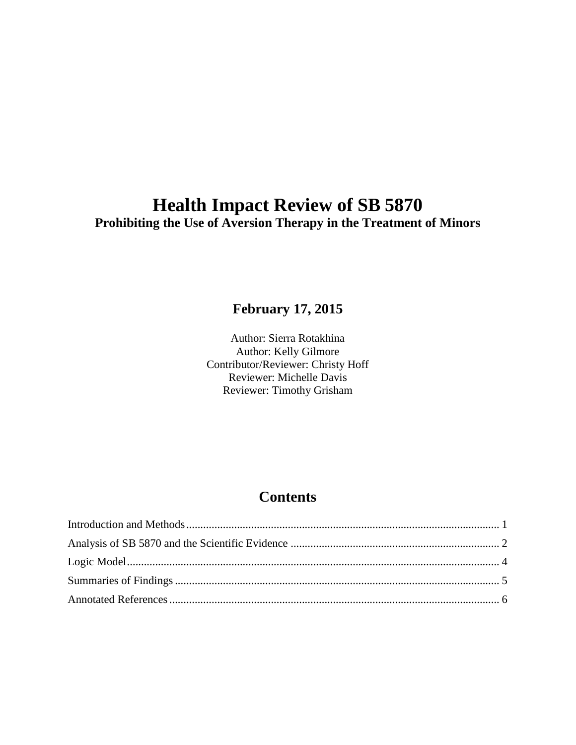# **Health Impact Review of SB 5870 Prohibiting the Use of Aversion Therapy in the Treatment of Minors**

# **February 17, 2015**

Author: Sierra Rotakhina Author: Kelly Gilmore Contributor/Reviewer: Christy Hoff Reviewer: Michelle Davis Reviewer: Timothy Grisham

# **Contents**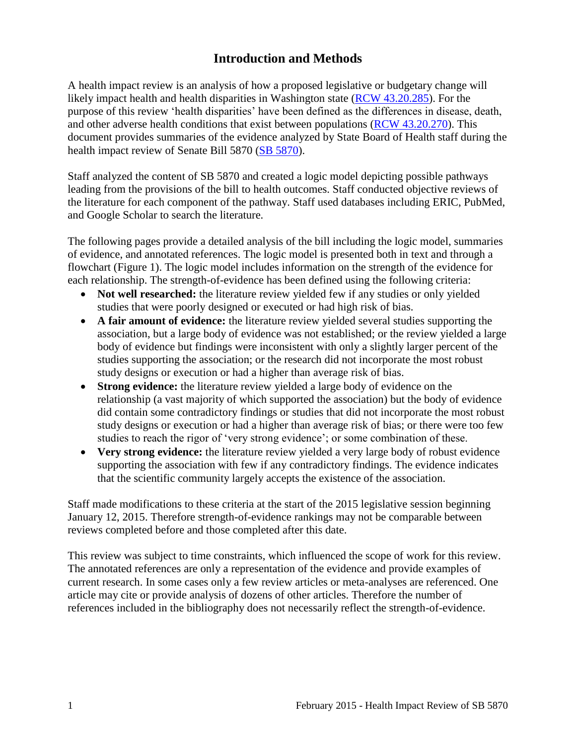# **Introduction and Methods**

<span id="page-2-0"></span>A health impact review is an analysis of how a proposed legislative or budgetary change will likely impact health and health disparities in Washington state [\(RCW 43.20.285\)](http://apps.leg.wa.gov/rcw/default.aspx?cite=43.20.285). For the purpose of this review 'health disparities' have been defined as the differences in disease, death, and other adverse health conditions that exist between populations [\(RCW 43.20.270\)](http://apps.leg.wa.gov/rcw/default.aspx?cite=43.20.270). This document provides summaries of the evidence analyzed by State Board of Health staff during the health impact review of Senate Bill 5870 [\(SB 5870\)](http://lawfilesext.leg.wa.gov/biennium/2015-16/Pdf/Bills/Senate%20Bills/5870.pdf).

Staff analyzed the content of SB 5870 and created a logic model depicting possible pathways leading from the provisions of the bill to health outcomes. Staff conducted objective reviews of the literature for each component of the pathway. Staff used databases including ERIC, PubMed, and Google Scholar to search the literature.

The following pages provide a detailed analysis of the bill including the logic model, summaries of evidence, and annotated references. The logic model is presented both in text and through a flowchart (Figure 1). The logic model includes information on the strength of the evidence for each relationship. The strength-of-evidence has been defined using the following criteria:

- Not well researched: the literature review yielded few if any studies or only yielded studies that were poorly designed or executed or had high risk of bias.
- **A fair amount of evidence:** the literature review yielded several studies supporting the association, but a large body of evidence was not established; or the review yielded a large body of evidence but findings were inconsistent with only a slightly larger percent of the studies supporting the association; or the research did not incorporate the most robust study designs or execution or had a higher than average risk of bias.
- **Strong evidence:** the literature review yielded a large body of evidence on the relationship (a vast majority of which supported the association) but the body of evidence did contain some contradictory findings or studies that did not incorporate the most robust study designs or execution or had a higher than average risk of bias; or there were too few studies to reach the rigor of 'very strong evidence'; or some combination of these.
- **Very strong evidence:** the literature review yielded a very large body of robust evidence supporting the association with few if any contradictory findings. The evidence indicates that the scientific community largely accepts the existence of the association.

Staff made modifications to these criteria at the start of the 2015 legislative session beginning January 12, 2015. Therefore strength-of-evidence rankings may not be comparable between reviews completed before and those completed after this date.

This review was subject to time constraints, which influenced the scope of work for this review. The annotated references are only a representation of the evidence and provide examples of current research. In some cases only a few review articles or meta-analyses are referenced. One article may cite or provide analysis of dozens of other articles. Therefore the number of references included in the bibliography does not necessarily reflect the strength-of-evidence.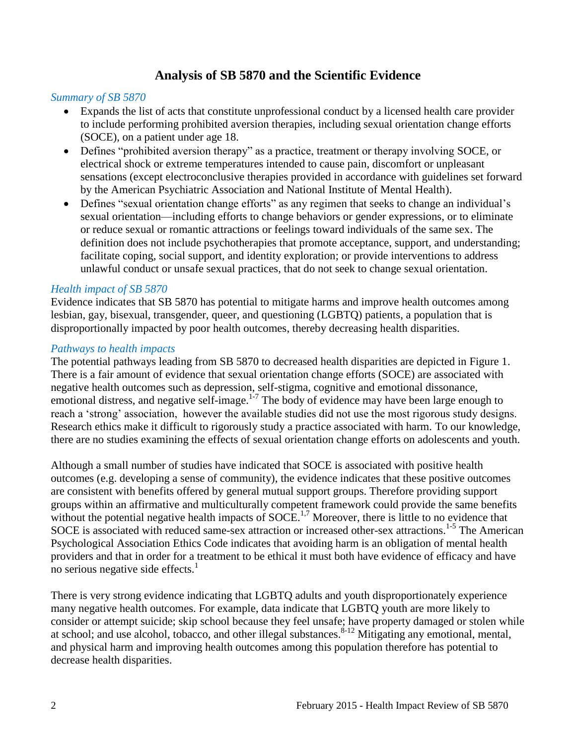## **Analysis of SB 5870 and the Scientific Evidence**

#### <span id="page-3-0"></span>*Summary of SB 5870*

- Expands the list of acts that constitute unprofessional conduct by a licensed health care provider to include performing prohibited aversion therapies, including sexual orientation change efforts (SOCE), on a patient under age 18.
- Defines "prohibited aversion therapy" as a practice, treatment or therapy involving SOCE, or electrical shock or extreme temperatures intended to cause pain, discomfort or unpleasant sensations (except electroconclusive therapies provided in accordance with guidelines set forward by the American Psychiatric Association and National Institute of Mental Health).
- Defines "sexual orientation change efforts" as any regimen that seeks to change an individual's sexual orientation—including efforts to change behaviors or gender expressions, or to eliminate or reduce sexual or romantic attractions or feelings toward individuals of the same sex. The definition does not include psychotherapies that promote acceptance, support, and understanding; facilitate coping, social support, and identity exploration; or provide interventions to address unlawful conduct or unsafe sexual practices, that do not seek to change sexual orientation.

## *Health impact of SB 5870*

Evidence indicates that SB 5870 has potential to mitigate harms and improve health outcomes among lesbian, gay, bisexual, transgender, queer, and questioning (LGBTQ) patients, a population that is disproportionally impacted by poor health outcomes, thereby decreasing health disparities.

#### *Pathways to health impacts*

The potential pathways leading from SB 5870 to decreased health disparities are depicted in Figure 1. There is a fair amount of evidence that sexual orientation change efforts (SOCE) are associated with negative health outcomes such as depression, self-stigma, cognitive and emotional dissonance, emotional distress, and negative self-image.<sup>1-7</sup> The body of evidence may have been large enough to reach a 'strong' association, however the available studies did not use the most rigorous study designs. Research ethics make it difficult to rigorously study a practice associated with harm. To our knowledge, there are no studies examining the effects of sexual orientation change efforts on adolescents and youth.

Although a small number of studies have indicated that SOCE is associated with positive health outcomes (e.g. developing a sense of community), the evidence indicates that these positive outcomes are consistent with benefits offered by general mutual support groups. Therefore providing support groups within an affirmative and multiculturally competent framework could provide the same benefits without the potential negative health impacts of  $S OCE$ <sup>1,7</sup> Moreover, there is little to no evidence that SOCE is associated with reduced same-sex attraction or increased other-sex attractions.<sup>1-5</sup> The American Psychological Association Ethics Code indicates that avoiding harm is an obligation of mental health providers and that in order for a treatment to be ethical it must both have evidence of efficacy and have no serious negative side effects. $<sup>1</sup>$ </sup>

There is very strong evidence indicating that LGBTQ adults and youth disproportionately experience many negative health outcomes. For example, data indicate that LGBTQ youth are more likely to consider or attempt suicide; skip school because they feel unsafe; have property damaged or stolen while at school; and use alcohol, tobacco, and other illegal substances.  $8-12$  Mitigating any emotional, mental, and physical harm and improving health outcomes among this population therefore has potential to decrease health disparities.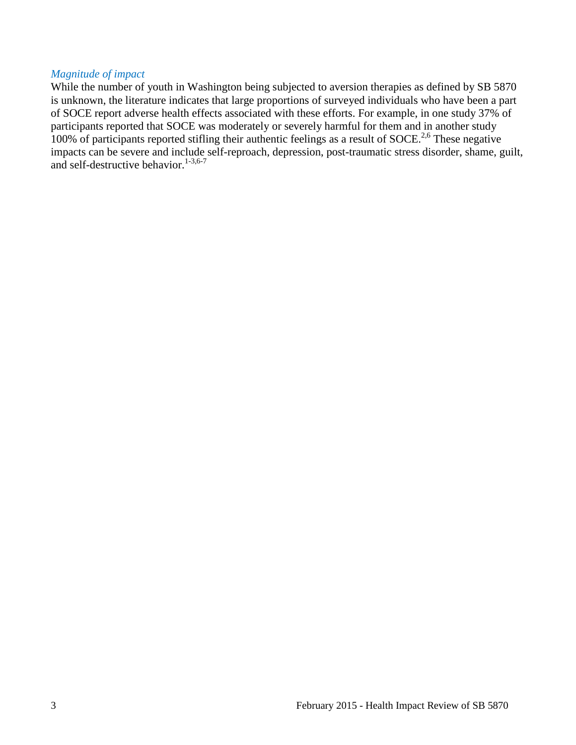## *Magnitude of impact*

While the number of youth in Washington being subjected to aversion therapies as defined by SB 5870 is unknown, the literature indicates that large proportions of surveyed individuals who have been a part of SOCE report adverse health effects associated with these efforts. For example, in one study 37% of participants reported that SOCE was moderately or severely harmful for them and in another study 100% of participants reported stifling their authentic feelings as a result of SOCE.<sup>2,6</sup> These negative impacts can be severe and include self-reproach, depression, post-traumatic stress disorder, shame, guilt, and self-destructive behavior. $1-3,6-7$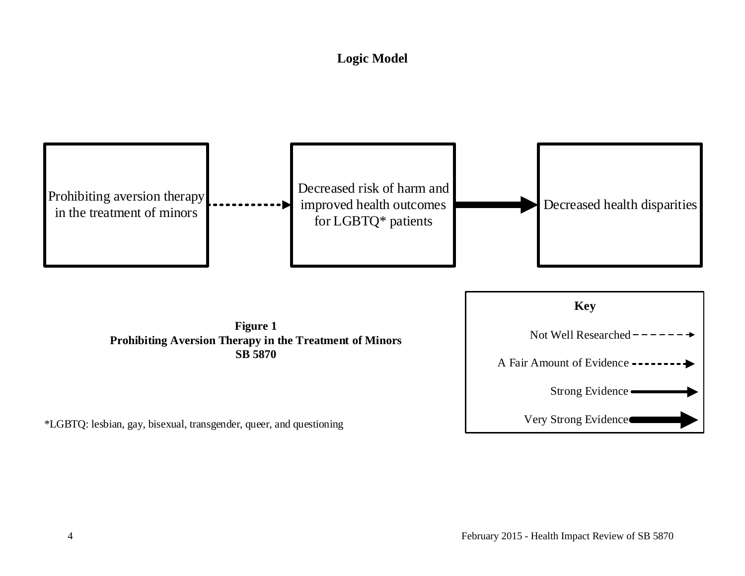# **Logic Model**

<span id="page-5-0"></span>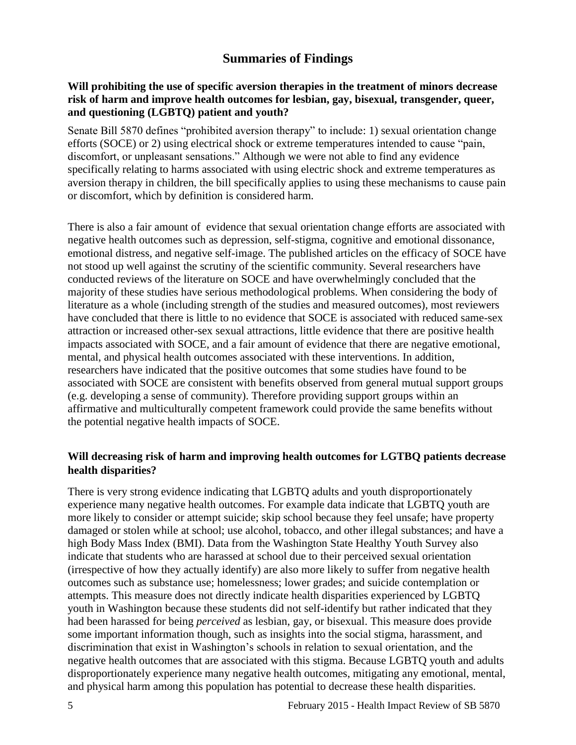## **Summaries of Findings**

## <span id="page-6-0"></span>**Will prohibiting the use of specific aversion therapies in the treatment of minors decrease risk of harm and improve health outcomes for lesbian, gay, bisexual, transgender, queer, and questioning (LGBTQ) patient and youth?**

Senate Bill 5870 defines "prohibited aversion therapy" to include: 1) sexual orientation change efforts (SOCE) or 2) using electrical shock or extreme temperatures intended to cause "pain, discomfort, or unpleasant sensations." Although we were not able to find any evidence specifically relating to harms associated with using electric shock and extreme temperatures as aversion therapy in children, the bill specifically applies to using these mechanisms to cause pain or discomfort, which by definition is considered harm.

There is also a fair amount of evidence that sexual orientation change efforts are associated with negative health outcomes such as depression, self-stigma, cognitive and emotional dissonance, emotional distress, and negative self-image. The published articles on the efficacy of SOCE have not stood up well against the scrutiny of the scientific community. Several researchers have conducted reviews of the literature on SOCE and have overwhelmingly concluded that the majority of these studies have serious methodological problems. When considering the body of literature as a whole (including strength of the studies and measured outcomes), most reviewers have concluded that there is little to no evidence that SOCE is associated with reduced same-sex attraction or increased other-sex sexual attractions, little evidence that there are positive health impacts associated with SOCE, and a fair amount of evidence that there are negative emotional, mental, and physical health outcomes associated with these interventions. In addition, researchers have indicated that the positive outcomes that some studies have found to be associated with SOCE are consistent with benefits observed from general mutual support groups (e.g. developing a sense of community). Therefore providing support groups within an affirmative and multiculturally competent framework could provide the same benefits without the potential negative health impacts of SOCE.

## **Will decreasing risk of harm and improving health outcomes for LGTBQ patients decrease health disparities?**

There is very strong evidence indicating that LGBTQ adults and youth disproportionately experience many negative health outcomes. For example data indicate that LGBTQ youth are more likely to consider or attempt suicide; skip school because they feel unsafe; have property damaged or stolen while at school; use alcohol, tobacco, and other illegal substances; and have a high Body Mass Index (BMI). Data from the Washington State Healthy Youth Survey also indicate that students who are harassed at school due to their perceived sexual orientation (irrespective of how they actually identify) are also more likely to suffer from negative health outcomes such as substance use; homelessness; lower grades; and suicide contemplation or attempts. This measure does not directly indicate health disparities experienced by LGBTQ youth in Washington because these students did not self-identify but rather indicated that they had been harassed for being *perceived* as lesbian, gay, or bisexual. This measure does provide some important information though, such as insights into the social stigma, harassment, and discrimination that exist in Washington's schools in relation to sexual orientation, and the negative health outcomes that are associated with this stigma. Because LGBTQ youth and adults disproportionately experience many negative health outcomes, mitigating any emotional, mental, and physical harm among this population has potential to decrease these health disparities.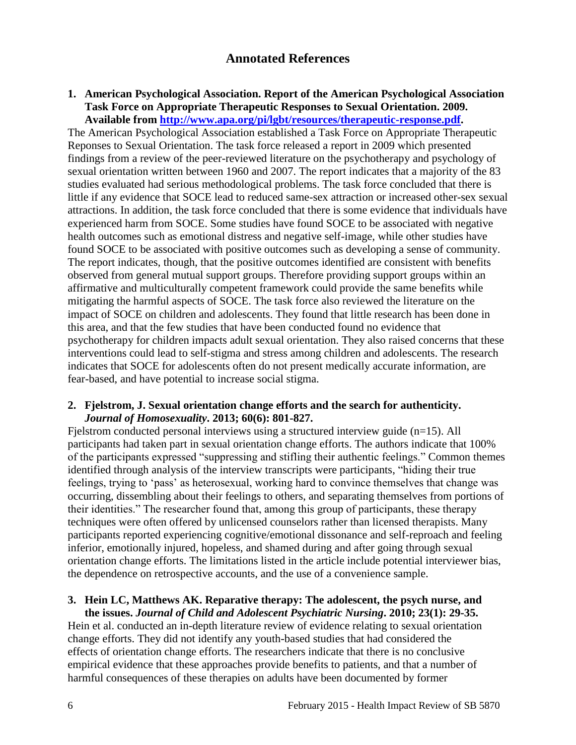## **Annotated References**

#### <span id="page-7-0"></span>**1. American Psychological Association. Report of the American Psychological Association Task Force on Appropriate Therapeutic Responses to Sexual Orientation. 2009. Available from [http://www.apa.org/pi/lgbt/resources/therapeutic-response.pdf.](http://www.apa.org/pi/lgbt/resources/therapeutic-response.pdf)**

The American Psychological Association established a Task Force on Appropriate Therapeutic Reponses to Sexual Orientation. The task force released a report in 2009 which presented findings from a review of the peer-reviewed literature on the psychotherapy and psychology of sexual orientation written between 1960 and 2007. The report indicates that a majority of the 83 studies evaluated had serious methodological problems. The task force concluded that there is little if any evidence that SOCE lead to reduced same-sex attraction or increased other-sex sexual attractions. In addition, the task force concluded that there is some evidence that individuals have experienced harm from SOCE. Some studies have found SOCE to be associated with negative health outcomes such as emotional distress and negative self-image, while other studies have found SOCE to be associated with positive outcomes such as developing a sense of community. The report indicates, though, that the positive outcomes identified are consistent with benefits observed from general mutual support groups. Therefore providing support groups within an affirmative and multiculturally competent framework could provide the same benefits while mitigating the harmful aspects of SOCE. The task force also reviewed the literature on the impact of SOCE on children and adolescents. They found that little research has been done in this area, and that the few studies that have been conducted found no evidence that psychotherapy for children impacts adult sexual orientation. They also raised concerns that these interventions could lead to self-stigma and stress among children and adolescents. The research indicates that SOCE for adolescents often do not present medically accurate information, are fear-based, and have potential to increase social stigma.

#### **2. Fjelstrom, J. Sexual orientation change efforts and the search for authenticity.**  *Journal of Homosexuality***. 2013; 60(6): 801-827.**

Fielstrom conducted personal interviews using a structured interview guide (n=15). All participants had taken part in sexual orientation change efforts. The authors indicate that 100% of the participants expressed "suppressing and stifling their authentic feelings." Common themes identified through analysis of the interview transcripts were participants, "hiding their true feelings, trying to 'pass' as heterosexual, working hard to convince themselves that change was occurring, dissembling about their feelings to others, and separating themselves from portions of their identities." The researcher found that, among this group of participants, these therapy techniques were often offered by unlicensed counselors rather than licensed therapists. Many participants reported experiencing cognitive/emotional dissonance and self-reproach and feeling inferior, emotionally injured, hopeless, and shamed during and after going through sexual orientation change efforts. The limitations listed in the article include potential interviewer bias, the dependence on retrospective accounts, and the use of a convenience sample.

## **3. Hein LC, Matthews AK. Reparative therapy: The adolescent, the psych nurse, and the issues.** *Journal of Child and Adolescent Psychiatric Nursing***. 2010; 23(1): 29-35.**

Hein et al. conducted an in-depth literature review of evidence relating to sexual orientation change efforts. They did not identify any youth-based studies that had considered the effects of orientation change efforts. The researchers indicate that there is no conclusive empirical evidence that these approaches provide benefits to patients, and that a number of harmful consequences of these therapies on adults have been documented by former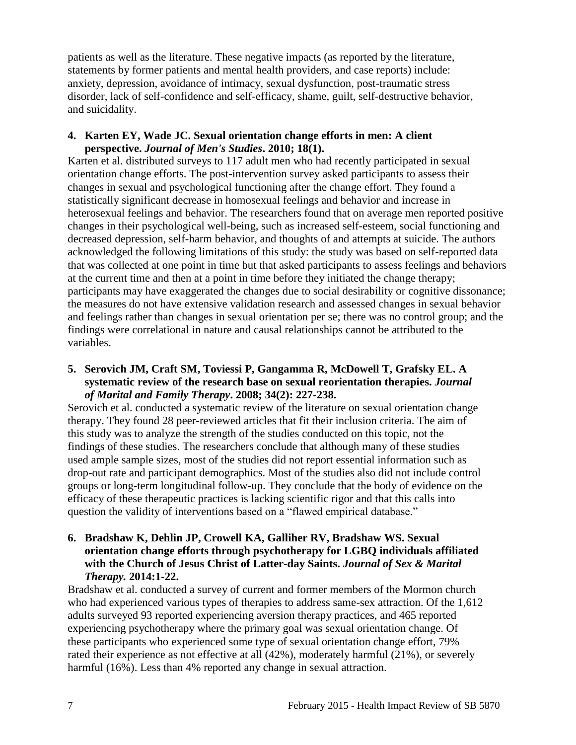patients as well as the literature. These negative impacts (as reported by the literature, statements by former patients and mental health providers, and case reports) include: anxiety, depression, avoidance of intimacy, sexual dysfunction, post-traumatic stress disorder, lack of self-confidence and self-efficacy, shame, guilt, self-destructive behavior, and suicidality.

## **4. Karten EY, Wade JC. Sexual orientation change efforts in men: A client perspective.** *Journal of Men's Studies***. 2010; 18(1).**

Karten et al. distributed surveys to 117 adult men who had recently participated in sexual orientation change efforts. The post-intervention survey asked participants to assess their changes in sexual and psychological functioning after the change effort. They found a statistically significant decrease in homosexual feelings and behavior and increase in heterosexual feelings and behavior. The researchers found that on average men reported positive changes in their psychological well-being, such as increased self-esteem, social functioning and decreased depression, self-harm behavior, and thoughts of and attempts at suicide. The authors acknowledged the following limitations of this study: the study was based on self-reported data that was collected at one point in time but that asked participants to assess feelings and behaviors at the current time and then at a point in time before they initiated the change therapy; participants may have exaggerated the changes due to social desirability or cognitive dissonance; the measures do not have extensive validation research and assessed changes in sexual behavior and feelings rather than changes in sexual orientation per se; there was no control group; and the findings were correlational in nature and causal relationships cannot be attributed to the variables.

## **5. Serovich JM, Craft SM, Toviessi P, Gangamma R, McDowell T, Grafsky EL. A systematic review of the research base on sexual reorientation therapies.** *Journal of Marital and Family Therapy***. 2008; 34(2): 227-238.**

Serovich et al. conducted a systematic review of the literature on sexual orientation change therapy. They found 28 peer-reviewed articles that fit their inclusion criteria. The aim of this study was to analyze the strength of the studies conducted on this topic, not the findings of these studies. The researchers conclude that although many of these studies used ample sample sizes, most of the studies did not report essential information such as drop-out rate and participant demographics. Most of the studies also did not include control groups or long-term longitudinal follow-up. They conclude that the body of evidence on the efficacy of these therapeutic practices is lacking scientific rigor and that this calls into question the validity of interventions based on a "flawed empirical database."

## **6. Bradshaw K, Dehlin JP, Crowell KA, Galliher RV, Bradshaw WS. Sexual orientation change efforts through psychotherapy for LGBQ individuals affiliated with the Church of Jesus Christ of Latter-day Saints.** *Journal of Sex & Marital Therapy.* **2014:1-22.**

Bradshaw et al. conducted a survey of current and former members of the Mormon church who had experienced various types of therapies to address same-sex attraction. Of the 1,612 adults surveyed 93 reported experiencing aversion therapy practices, and 465 reported experiencing psychotherapy where the primary goal was sexual orientation change. Of these participants who experienced some type of sexual orientation change effort, 79% rated their experience as not effective at all (42%), moderately harmful (21%), or severely harmful (16%). Less than 4% reported any change in sexual attraction.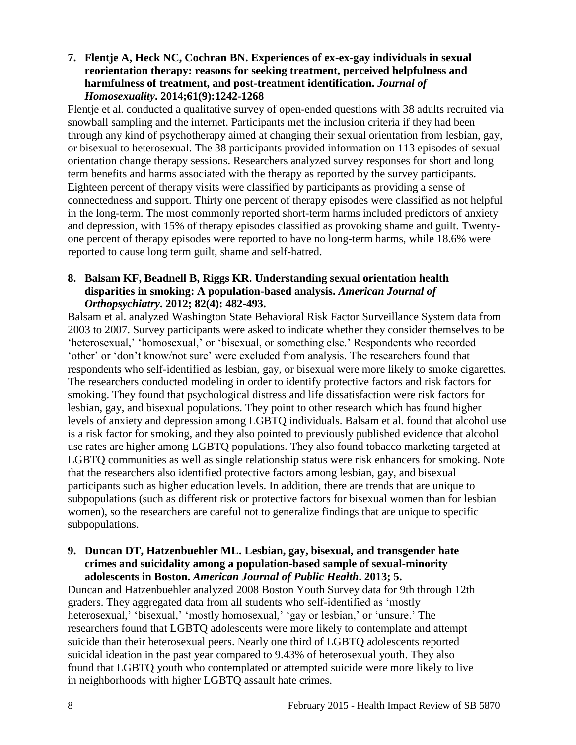## **7. Flentje A, Heck NC, Cochran BN. Experiences of ex-ex-gay individuals in sexual reorientation therapy: reasons for seeking treatment, perceived helpfulness and harmfulness of treatment, and post-treatment identification.** *Journal of Homosexuality***. 2014;61(9):1242-1268**

Flentje et al. conducted a qualitative survey of open-ended questions with 38 adults recruited via snowball sampling and the internet. Participants met the inclusion criteria if they had been through any kind of psychotherapy aimed at changing their sexual orientation from lesbian, gay, or bisexual to heterosexual. The 38 participants provided information on 113 episodes of sexual orientation change therapy sessions. Researchers analyzed survey responses for short and long term benefits and harms associated with the therapy as reported by the survey participants. Eighteen percent of therapy visits were classified by participants as providing a sense of connectedness and support. Thirty one percent of therapy episodes were classified as not helpful in the long-term. The most commonly reported short-term harms included predictors of anxiety and depression, with 15% of therapy episodes classified as provoking shame and guilt. Twentyone percent of therapy episodes were reported to have no long-term harms, while 18.6% were reported to cause long term guilt, shame and self-hatred.

## **8. Balsam KF, Beadnell B, Riggs KR. Understanding sexual orientation health disparities in smoking: A population-based analysis.** *American Journal of Orthopsychiatry***. 2012; 82(4): 482-493.**

Balsam et al. analyzed Washington State Behavioral Risk Factor Surveillance System data from 2003 to 2007. Survey participants were asked to indicate whether they consider themselves to be 'heterosexual,' 'homosexual,' or 'bisexual, or something else.' Respondents who recorded 'other' or 'don't know/not sure' were excluded from analysis. The researchers found that respondents who self-identified as lesbian, gay, or bisexual were more likely to smoke cigarettes. The researchers conducted modeling in order to identify protective factors and risk factors for smoking. They found that psychological distress and life dissatisfaction were risk factors for lesbian, gay, and bisexual populations. They point to other research which has found higher levels of anxiety and depression among LGBTQ individuals. Balsam et al. found that alcohol use is a risk factor for smoking, and they also pointed to previously published evidence that alcohol use rates are higher among LGBTQ populations. They also found tobacco marketing targeted at LGBTQ communities as well as single relationship status were risk enhancers for smoking. Note that the researchers also identified protective factors among lesbian, gay, and bisexual participants such as higher education levels. In addition, there are trends that are unique to subpopulations (such as different risk or protective factors for bisexual women than for lesbian women), so the researchers are careful not to generalize findings that are unique to specific subpopulations.

## **9. Duncan DT, Hatzenbuehler ML. Lesbian, gay, bisexual, and transgender hate crimes and suicidality among a population-based sample of sexual-minority adolescents in Boston.** *American Journal of Public Health***. 2013; 5.**

Duncan and Hatzenbuehler analyzed 2008 Boston Youth Survey data for 9th through 12th graders. They aggregated data from all students who self-identified as 'mostly heterosexual,' 'bisexual,' 'mostly homosexual,' 'gay or lesbian,' or 'unsure.' The researchers found that LGBTQ adolescents were more likely to contemplate and attempt suicide than their heterosexual peers. Nearly one third of LGBTQ adolescents reported suicidal ideation in the past year compared to 9.43% of heterosexual youth. They also found that LGBTQ youth who contemplated or attempted suicide were more likely to live in neighborhoods with higher LGBTQ assault hate crimes.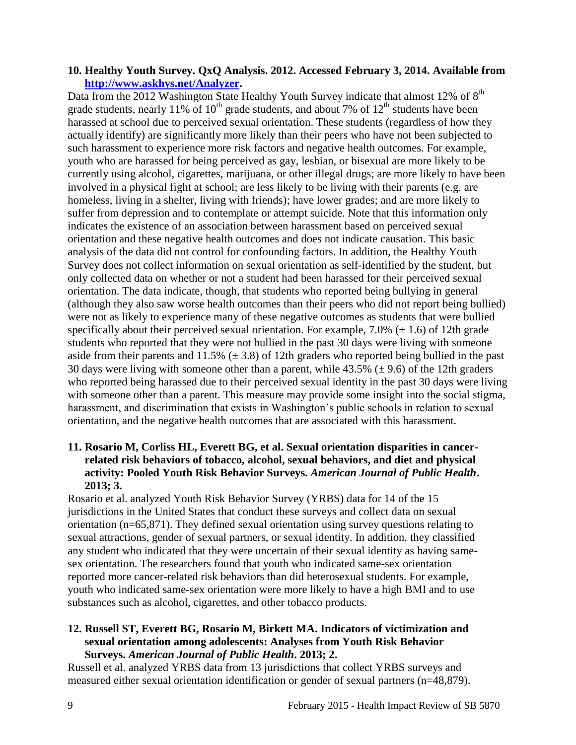## **10. Healthy Youth Survey. QxQ Analysis. 2012. Accessed February 3, 2014. Available from [http://www.askhys.net/Analyzer.](http://www.askhys.net/Analyzer)**

Data from the 2012 Washington State Healthy Youth Survey indicate that almost 12% of  $8<sup>th</sup>$ grade students, nearly 11% of  $10^{th}$  grade students, and about 7% of  $12^{th}$  students have been harassed at school due to perceived sexual orientation. These students (regardless of how they actually identify) are significantly more likely than their peers who have not been subjected to such harassment to experience more risk factors and negative health outcomes. For example, youth who are harassed for being perceived as gay, lesbian, or bisexual are more likely to be currently using alcohol, cigarettes, marijuana, or other illegal drugs; are more likely to have been involved in a physical fight at school; are less likely to be living with their parents (e.g. are homeless, living in a shelter, living with friends); have lower grades; and are more likely to suffer from depression and to contemplate or attempt suicide. Note that this information only indicates the existence of an association between harassment based on perceived sexual orientation and these negative health outcomes and does not indicate causation. This basic analysis of the data did not control for confounding factors. In addition, the Healthy Youth Survey does not collect information on sexual orientation as self-identified by the student, but only collected data on whether or not a student had been harassed for their perceived sexual orientation. The data indicate, though, that students who reported being bullying in general (although they also saw worse health outcomes than their peers who did not report being bullied) were not as likely to experience many of these negative outcomes as students that were bullied specifically about their perceived sexual orientation. For example, 7.0% ( $\pm$  1.6) of 12th grade students who reported that they were not bullied in the past 30 days were living with someone aside from their parents and  $11.5\%$  ( $\pm$  3.8) of 12th graders who reported being bullied in the past 30 days were living with someone other than a parent, while  $43.5\%$  ( $\pm$  9.6) of the 12th graders who reported being harassed due to their perceived sexual identity in the past 30 days were living with someone other than a parent. This measure may provide some insight into the social stigma, harassment, and discrimination that exists in Washington's public schools in relation to sexual orientation, and the negative health outcomes that are associated with this harassment.

## **11. Rosario M, Corliss HL, Everett BG, et al. Sexual orientation disparities in cancerrelated risk behaviors of tobacco, alcohol, sexual behaviors, and diet and physical activity: Pooled Youth Risk Behavior Surveys.** *American Journal of Public Health***. 2013; 3.**

Rosario et al. analyzed Youth Risk Behavior Survey (YRBS) data for 14 of the 15 jurisdictions in the United States that conduct these surveys and collect data on sexual orientation (n=65,871). They defined sexual orientation using survey questions relating to sexual attractions, gender of sexual partners, or sexual identity. In addition, they classified any student who indicated that they were uncertain of their sexual identity as having samesex orientation. The researchers found that youth who indicated same-sex orientation reported more cancer-related risk behaviors than did heterosexual students. For example, youth who indicated same-sex orientation were more likely to have a high BMI and to use substances such as alcohol, cigarettes, and other tobacco products.

## **12. Russell ST, Everett BG, Rosario M, Birkett MA. Indicators of victimization and sexual orientation among adolescents: Analyses from Youth Risk Behavior Surveys.** *American Journal of Public Health***. 2013; 2.**

Russell et al. analyzed YRBS data from 13 jurisdictions that collect YRBS surveys and measured either sexual orientation identification or gender of sexual partners (n=48,879).